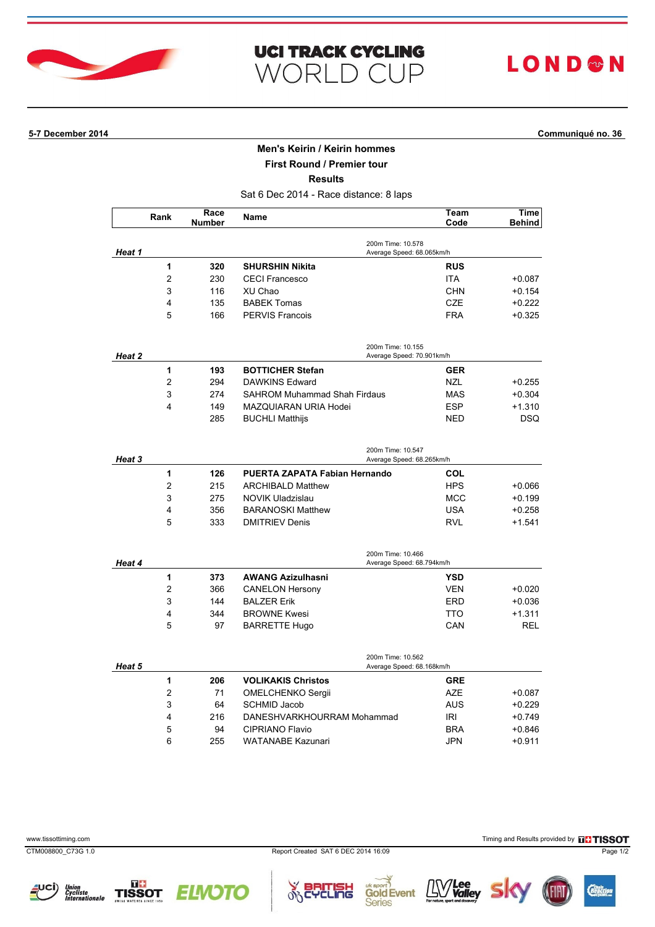

| <b>UCI TRACK CYCLING</b> |  |  |
|--------------------------|--|--|
| WORLD CUP                |  |  |

# **LOND®N**

## **5-7 December 2014 Communiqué no. 36**

## **Men's Keirin / Keirin hommes**

**First Round / Premier tour**

**Results**

Sat 6 Dec 2014 - Race distance: 8 laps

|        | Rank                    | Race<br><b>Number</b> | Name                                           | Team<br>Code      | Time<br><b>Behind</b>  |  |  |
|--------|-------------------------|-----------------------|------------------------------------------------|-------------------|------------------------|--|--|
| Heat 1 |                         |                       | 200m Time: 10.578<br>Average Speed: 68.065km/h |                   |                        |  |  |
|        | 1                       | 320                   | <b>SHURSHIN Nikita</b>                         | <b>RUS</b>        |                        |  |  |
|        | $\overline{2}$          | 230                   | <b>CECI Francesco</b>                          | <b>ITA</b>        | $+0.087$               |  |  |
|        | 3                       | 116                   | XU Chao                                        | <b>CHN</b>        | $+0.154$               |  |  |
|        | 4                       | 135                   | <b>BABEK Tomas</b>                             | <b>CZE</b>        | $+0.222$               |  |  |
|        | 5                       | 166                   | <b>PERVIS Francois</b>                         | <b>FRA</b>        | $+0.325$               |  |  |
|        |                         |                       | 200m Time: 10.155                              |                   |                        |  |  |
| Heat 2 | 1                       |                       | Average Speed: 70.901km/h                      |                   |                        |  |  |
|        | $\overline{c}$          | 193<br>294            | <b>BOTTICHER Stefan</b>                        | <b>GER</b>        |                        |  |  |
|        | 3                       |                       | DAWKINS Edward                                 | <b>NZL</b>        | $+0.255$               |  |  |
|        | $\overline{\mathbf{4}}$ | 274                   | <b>SAHROM Muhammad Shah Firdaus</b>            | <b>MAS</b>        | $+0.304$               |  |  |
|        |                         | 149                   | MAZQUIARAN URIA Hodei                          | <b>ESP</b>        | $+1.310$               |  |  |
|        |                         | 285                   | <b>BUCHLI Matthijs</b>                         | <b>NED</b>        | DSQ                    |  |  |
| Heat 3 |                         |                       | 200m Time: 10.547<br>Average Speed: 68.265km/h |                   |                        |  |  |
|        | 1                       | 126                   | PUERTA ZAPATA Fabian Hernando                  | <b>COL</b>        |                        |  |  |
|        | 2                       | 215                   | <b>ARCHIBALD Matthew</b>                       | <b>HPS</b>        | $+0.066$               |  |  |
|        | 3                       | 275                   | NOVIK Uladzislau                               | <b>MCC</b>        | $+0.199$               |  |  |
|        | 4                       | 356                   | <b>BARANOSKI Matthew</b>                       | USA               | $+0.258$               |  |  |
|        | 5                       | 333                   | <b>DMITRIEV Denis</b>                          | <b>RVL</b>        | $+1.541$               |  |  |
|        |                         |                       | 200m Time: 10.466                              |                   |                        |  |  |
| Heat 4 |                         |                       | Average Speed: 68.794km/h                      |                   |                        |  |  |
|        | 1                       | 373                   | <b>AWANG Azizulhasni</b>                       | <b>YSD</b>        |                        |  |  |
|        | $\overline{2}$          | 366                   | <b>CANELON Hersony</b>                         | <b>VEN</b>        | $+0.020$               |  |  |
|        | 3                       | 144                   | <b>BALZER Erik</b>                             | ERD               | $+0.036$               |  |  |
|        | 4<br>5                  | 344<br>97             | <b>BROWNE Kwesi</b><br><b>BARRETTE Hugo</b>    | <b>TTO</b><br>CAN | $+1.311$<br><b>REL</b> |  |  |
|        |                         |                       |                                                |                   |                        |  |  |
| Heat 5 |                         |                       | 200m Time: 10.562<br>Average Speed: 68.168km/h |                   |                        |  |  |
|        | 1                       | 206                   | <b>VOLIKAKIS Christos</b>                      | <b>GRE</b>        |                        |  |  |
|        | $\overline{2}$          | 71                    | OMELCHENKO Sergii                              | <b>AZE</b>        | $+0.087$               |  |  |
|        | 3                       | 64                    | <b>SCHMID Jacob</b>                            | <b>AUS</b>        | $+0.229$               |  |  |
|        | 4                       | 216                   | DANESHVARKHOURRAM Mohammad                     | IRI               | +0.749                 |  |  |
|        | 5                       | 94                    | <b>CIPRIANO Flavio</b>                         | <b>BRA</b>        | +0.846                 |  |  |
|        | 6                       | 255                   | <b>WATANABE Kazunari</b>                       | <b>JPN</b>        | $+0.911$               |  |  |

**TISSOT** 

**PLUSH** 

**Gold Event**<br>**Gold Event** 

86





 $\underline{\mathbb{I} \mathbb{V}}$ Valley  $S$